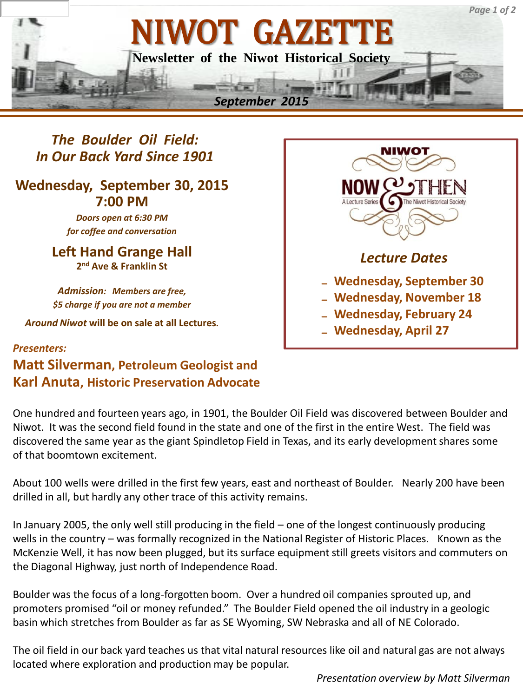

*The Boulder Oil Field: In Our Back Yard Since 1901*

# **Wednesday, September 30, 2015 7:00 PM**

*Doors open at 6:30 PM for coffee and conversation*

**Left Hand Grange Hall 2 nd Ave & Franklin St**

*Admission: Members are free, \$5 charge if you are not a member*

*Around Niwot* **will be on sale at all Lectures***.*

# NIWOT *Lecture Dates* ₋ **Wednesday, September 30** ₋ **Wednesday, November 18** ₋ **Wednesday, February 24** ₋ **Wednesday, April 27**

# *Presenters:*  **Matt Silverman, Petroleum Geologist and Karl Anuta, Historic Preservation Advocate**

One hundred and fourteen years ago, in 1901, the Boulder Oil Field was discovered between Boulder and Niwot. It was the second field found in the state and one of the first in the entire West. The field was discovered the same year as the giant Spindletop Field in Texas, and its early development shares some of that boomtown excitement.

About 100 wells were drilled in the first few years, east and northeast of Boulder. Nearly 200 have been drilled in all, but hardly any other trace of this activity remains.

In January 2005, the only well still producing in the field – one of the longest continuously producing wells in the country – was formally recognized in the National Register of Historic Places. Known as the McKenzie Well, it has now been plugged, but its surface equipment still greets visitors and commuters on the Diagonal Highway, just north of Independence Road.

Boulder was the focus of a long-forgotten boom. Over a hundred oil companies sprouted up, and promoters promised "oil or money refunded." The Boulder Field opened the oil industry in a geologic basin which stretches from Boulder as far as SE Wyoming, SW Nebraska and all of NE Colorado.

The oil field in our back yard teaches us that vital natural resources like oil and natural gas are not always located where exploration and production may be popular.